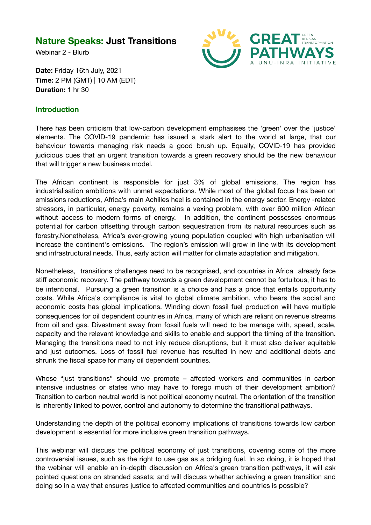## **Nature Speaks: Just Transitions**

Webinar 2 - Blurb



**Date:** Friday 16th July, 2021 **Time:** 2 PM (GMT) | 10 AM (EDT) **Duration:** 1 hr 30

## **Introduction**

There has been criticism that low-carbon development emphasises the 'green' over the 'justice' elements. The COVID-19 pandemic has issued a stark alert to the world at large, that our behaviour towards managing risk needs a good brush up. Equally, COVID-19 has provided judicious cues that an urgent transition towards a green recovery should be the new behaviour that will trigger a new business model.

The African continent is responsible for just 3% of global emissions. The region has industrialisation ambitions with unmet expectations. While most of the global focus has been on emissions reductions, Africa's main Achilles heel is contained in the energy sector. Energy -related stressors, in particular, energy poverty, remains a vexing problem, with over 600 million African without access to modern forms of energy. In addition, the continent possesses enormous potential for carbon offsetting through carbon sequestration from its natural resources such as forestry.Nonetheless, Africa's ever-growing young population coupled with high urbanisation will increase the continent's emissions. The region's emission will grow in line with its development and infrastructural needs. Thus, early action will matter for climate adaptation and mitigation.

Nonetheless, transitions challenges need to be recognised, and countries in Africa already face stiff economic recovery. The pathway towards a green development cannot be fortuitous, it has to be intentional. Pursuing a green transition is a choice and has a price that entails opportunity costs. While Africa's compliance is vital to global climate ambition, who bears the social and economic costs has global implications. Winding down fossil fuel production will have multiple consequences for oil dependent countries in Africa, many of which are reliant on revenue streams from oil and gas. Divestment away from fossil fuels will need to be manage with, speed, scale, capacity and the relevant knowledge and skills to enable and support the timing of the transition. Managing the transitions need to not inly reduce disruptions, but it must also deliver equitable and just outcomes. Loss of fossil fuel revenue has resulted in new and additional debts and shrunk the fiscal space for many oil dependent countries.

Whose "just transitions'' should we promote – affected workers and communities in carbon intensive industries or states who may have to forego much of their development ambition? Transition to carbon neutral world is not political economy neutral. The orientation of the transition is inherently linked to power, control and autonomy to determine the transitional pathways.

Understanding the depth of the political economy implications of transitions towards low carbon development is essential for more inclusive green transition pathways.

This webinar will discuss the political economy of just transitions, covering some of the more controversial issues, such as the right to use gas as a bridging fuel. In so doing, it is hoped that the webinar will enable an in-depth discussion on Africa's green transition pathways, it will ask pointed questions on stranded assets; and will discuss whether achieving a green transition and doing so in a way that ensures justice to affected communities and countries is possible?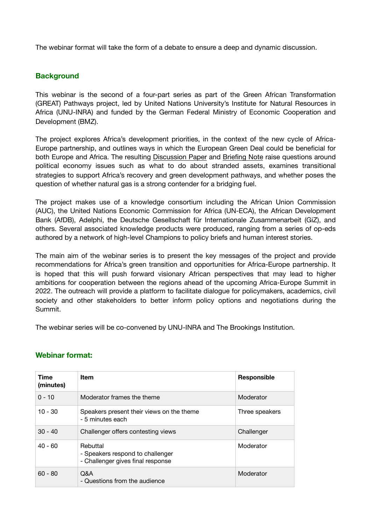The webinar format will take the form of a debate to ensure a deep and dynamic discussion.

## **Background**

This webinar is the second of a four-part series as part of the Green African Transformation (GREAT) Pathways project, led by United Nations University's Institute for Natural Resources in Africa (UNU-INRA) and funded by the German Federal Ministry of Economic Cooperation and Development (BMZ).

The project explores Africa's development priorities, in the context of the new cycle of Africa-Europe partnership, and outlines ways in which the European Green Deal could be beneficial for both Europe and Africa. The resulting [Discussion Paper](http://collections.unu.edu/eserv/UNU:8127/GREAT_Pathways_____Discussion_Paper_Final_Final_June_20.pdf) and [Briefing Note](http://collections.unu.edu/eserv/UNU:8126/GREAT_Pathways__Briefing_Note_May_6.pdf) raise questions around political economy issues such as what to do about stranded assets, examines transitional strategies to support Africa's recovery and green development pathways, and whether poses the question of whether natural gas is a strong contender for a bridging fuel.

The project makes use of a knowledge consortium including the African Union Commission (AUC), the United Nations Economic Commission for Africa (UN-ECA), the African Development Bank (AfDB), Adelphi, the Deutsche Gesellschaft für Internationale Zusammenarbeit (GiZ), and others. Several associated knowledge products were produced, ranging from a series of op-eds authored by a network of high-level Champions to policy briefs and human interest stories.

The main aim of the webinar series is to present the key messages of the project and provide recommendations for Africa's green transition and opportunities for Africa-Europe partnership. It is hoped that this will push forward visionary African perspectives that may lead to higher ambitions for cooperation between the regions ahead of the upcoming Africa-Europe Summit in 2022. The outreach will provide a platform to facilitate dialogue for policymakers, academics, civil society and other stakeholders to better inform policy options and negotiations during the Summit.

The webinar series will be co-convened by UNU-INRA and The Brookings Institution.

| Time<br>(minutes) | <b>Item</b>                                                                       | Responsible    |
|-------------------|-----------------------------------------------------------------------------------|----------------|
| ი - 10            | Moderator frames the theme                                                        | Moderator      |
| $10 - 30$         | Speakers present their views on the theme<br>- 5 minutes each                     | Three speakers |
| $30 - 40$         | Challenger offers contesting views                                                | Challenger     |
| $40 - 60$         | Rebuttal<br>- Speakers respond to challenger<br>- Challenger gives final response | Moderator      |
| $60 - 80$         | Q&A<br>- Questions from the audience                                              | Moderator      |

## **Webinar format:**